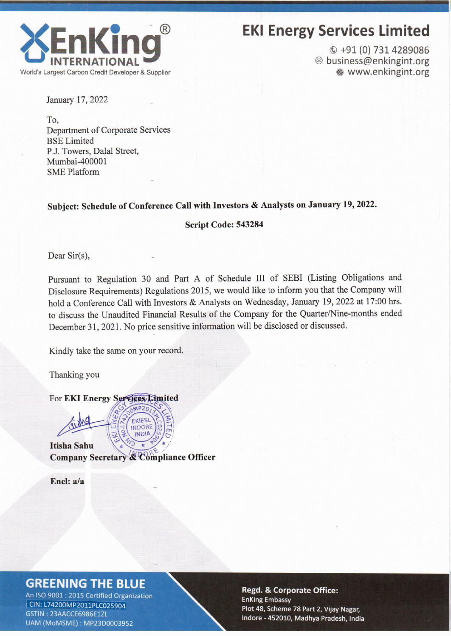

# **EKI Energy Services Limited**

 $Q + 91(0)$  731 4289086 @ business@enkingint.org · www.enkingint.org

January 17, 2022

To. Department of Corporate Services **BSE** Limited P.J. Towers, Dalal Street, Mumbai-400001 **SME Platform** 

#### Subject: Schedule of Conference Call with Investors & Analysts on January 19, 2022.

Script Code: 543284

Dear Sir(s),

Pursuant to Regulation 30 and Part A of Schedule III of SEBI (Listing Obligations and Disclosure Requirements) Regulations 2015, we would like to inform you that the Company will hold a Conference Call with Investors & Analysts on Wednesday, January 19, 2022 at 17:00 hrs. to discuss the Unaudited Financial Results of the Company for the Quarter/Nine-months ended December 31, 2021. No price sensitive information will be disclosed or discussed.

Kindly take the same on your record.

Thanking you

For EKI Energy Services Limited

INDIA **Itisha Sahu** Company Secretary & Compliance Officer

 $MPP$ EKIESL **INDORE** 

Encl: a/a

#### **GREENING THE BLUE**

An ISO 9001 : 2015 Certified Organization CIN: L74200MP2011PLC025904 GSTIN: 23AACCE6986E1ZL UAM (MoMSME): MP23D0003952

**Regd. & Corporate Office: EnKing Embassy** Plot 48, Scheme 78 Part 2, Vijay Nagar, Indore - 452010, Madhya Pradesh, India